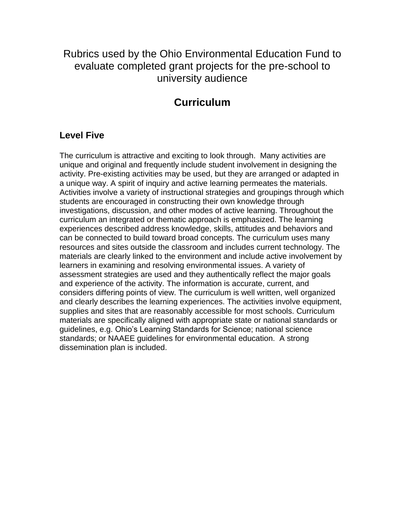Rubrics used by the Ohio Environmental Education Fund to evaluate completed grant projects for the pre-school to university audience

# **Curriculum**

#### **Level Five**

The curriculum is attractive and exciting to look through. Many activities are unique and original and frequently include student involvement in designing the activity. Pre-existing activities may be used, but they are arranged or adapted in a unique way. A spirit of inquiry and active learning permeates the materials. Activities involve a variety of instructional strategies and groupings through which students are encouraged in constructing their own knowledge through investigations, discussion, and other modes of active learning. Throughout the curriculum an integrated or thematic approach is emphasized. The learning experiences described address knowledge, skills, attitudes and behaviors and can be connected to build toward broad concepts. The curriculum uses many resources and sites outside the classroom and includes current technology. The materials are clearly linked to the environment and include active involvement by learners in examining and resolving environmental issues. A variety of assessment strategies are used and they authentically reflect the major goals and experience of the activity. The information is accurate, current, and considers differing points of view. The curriculum is well written, well organized and clearly describes the learning experiences. The activities involve equipment, supplies and sites that are reasonably accessible for most schools. Curriculum materials are specifically aligned with appropriate state or national standards or guidelines, e.g. Ohio's Learning Standards for Science; national science standards; or NAAEE guidelines for environmental education. A strong dissemination plan is included.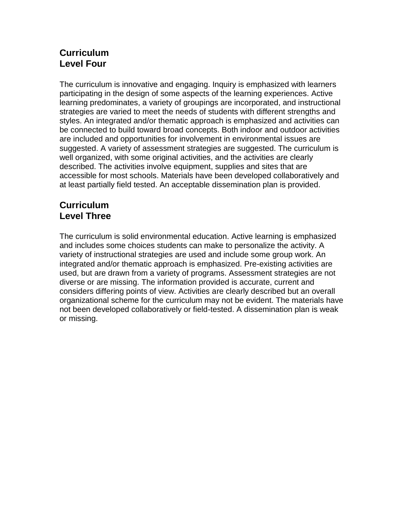## **Curriculum Level Four**

The curriculum is innovative and engaging. Inquiry is emphasized with learners participating in the design of some aspects of the learning experiences. Active learning predominates, a variety of groupings are incorporated, and instructional strategies are varied to meet the needs of students with different strengths and styles. An integrated and/or thematic approach is emphasized and activities can be connected to build toward broad concepts. Both indoor and outdoor activities are included and opportunities for involvement in environmental issues are suggested. A variety of assessment strategies are suggested. The curriculum is well organized, with some original activities, and the activities are clearly described. The activities involve equipment, supplies and sites that are accessible for most schools. Materials have been developed collaboratively and at least partially field tested. An acceptable dissemination plan is provided.

## **Curriculum Level Three**

The curriculum is solid environmental education. Active learning is emphasized and includes some choices students can make to personalize the activity. A variety of instructional strategies are used and include some group work. An integrated and/or thematic approach is emphasized. Pre-existing activities are used, but are drawn from a variety of programs. Assessment strategies are not diverse or are missing. The information provided is accurate, current and considers differing points of view. Activities are clearly described but an overall organizational scheme for the curriculum may not be evident. The materials have not been developed collaboratively or field-tested. A dissemination plan is weak or missing.